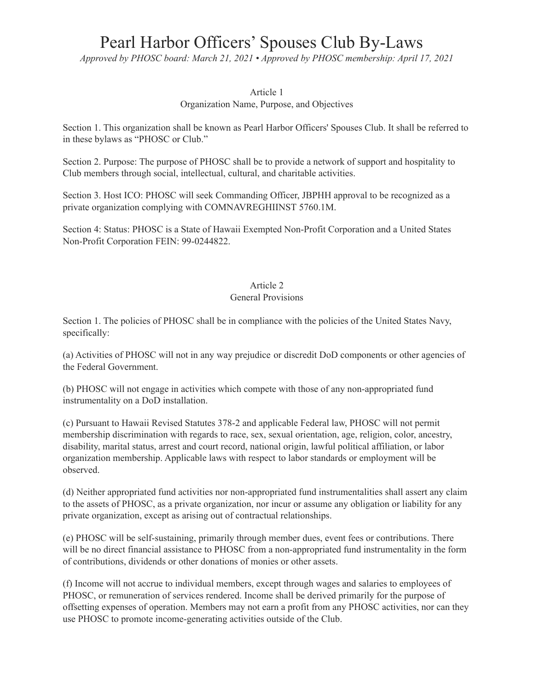# Pearl Harbor Officers' Spouses Club By-Laws

*Approved by PHOSC board: March 21, 2021 • Approved by PHOSC membership: April 17, 2021*

# Article 1

Organization Name, Purpose, and Objectives

Section 1. This organization shall be known as Pearl Harbor Officers' Spouses Club. It shall be referred to in these bylaws as "PHOSC or Club."

Section 2. Purpose: The purpose of PHOSC shall be to provide a network of support and hospitality to Club members through social, intellectual, cultural, and charitable activities.

Section 3. Host ICO: PHOSC will seek Commanding Officer, JBPHH approval to be recognized as a private organization complying with COMNAVREGHIINST 5760.1M.

Section 4: Status: PHOSC is a State of Hawaii Exempted Non-Profit Corporation and a United States Non-Profit Corporation FEIN: 99-0244822.

# Article 2

# General Provisions

Section 1. The policies of PHOSC shall be in compliance with the policies of the United States Navy, specifically:

(a) Activities of PHOSC will not in any way prejudice or discredit DoD components or other agencies of the Federal Government.

(b) PHOSC will not engage in activities which compete with those of any non-appropriated fund instrumentality on a DoD installation.

(c) Pursuant to Hawaii Revised Statutes 378-2 and applicable Federal law, PHOSC will not permit membership discrimination with regards to race, sex, sexual orientation, age, religion, color, ancestry, disability, marital status, arrest and court record, national origin, lawful political affiliation, or labor organization membership. Applicable laws with respect to labor standards or employment will be observed.

(d) Neither appropriated fund activities nor non-appropriated fund instrumentalities shall assert any claim to the assets of PHOSC, as a private organization, nor incur or assume any obligation or liability for any private organization, except as arising out of contractual relationships.

(e) PHOSC will be self-sustaining, primarily through member dues, event fees or contributions. There will be no direct financial assistance to PHOSC from a non-appropriated fund instrumentality in the form of contributions, dividends or other donations of monies or other assets.

(f) Income will not accrue to individual members, except through wages and salaries to employees of PHOSC, or remuneration of services rendered. Income shall be derived primarily for the purpose of offsetting expenses of operation. Members may not earn a profit from any PHOSC activities, nor can they use PHOSC to promote income-generating activities outside of the Club.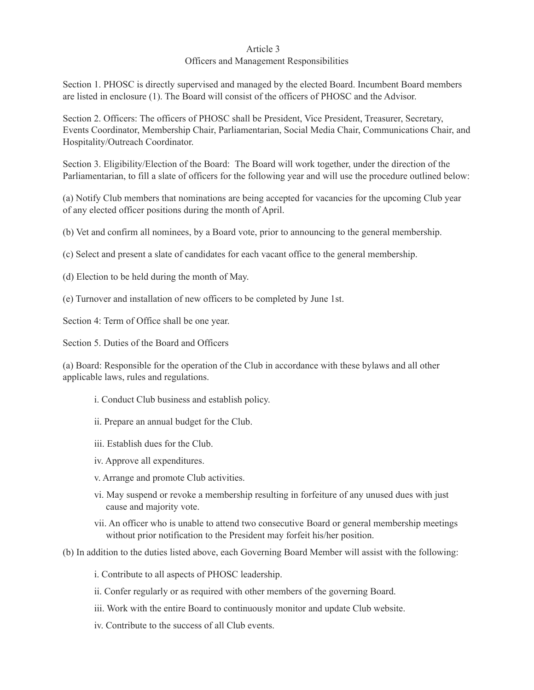## Article 3

## Officers and Management Responsibilities

Section 1. PHOSC is directly supervised and managed by the elected Board. Incumbent Board members are listed in enclosure (1). The Board will consist of the officers of PHOSC and the Advisor.

Section 2. Officers: The officers of PHOSC shall be President, Vice President, Treasurer, Secretary, Events Coordinator, Membership Chair, Parliamentarian, Social Media Chair, Communications Chair, and Hospitality/Outreach Coordinator.

Section 3. Eligibility/Election of the Board: The Board will work together, under the direction of the Parliamentarian, to fill a slate of officers for the following year and will use the procedure outlined below:

(a) Notify Club members that nominations are being accepted for vacancies for the upcoming Club year of any elected officer positions during the month of April.

(b) Vet and confirm all nominees, by a Board vote, prior to announcing to the general membership.

(c) Select and present a slate of candidates for each vacant office to the general membership.

(d) Election to be held during the month of May.

(e) Turnover and installation of new officers to be completed by June 1st.

Section 4: Term of Office shall be one year.

Section 5. Duties of the Board and Officers

(a) Board: Responsible for the operation of the Club in accordance with these bylaws and all other applicable laws, rules and regulations.

- i. Conduct Club business and establish policy.
- ii. Prepare an annual budget for the Club.
- iii. Establish dues for the Club.
- iv. Approve all expenditures.
- v. Arrange and promote Club activities.
- vi. May suspend or revoke a membership resulting in forfeiture of any unused dues with just cause and majority vote.
- vii. An officer who is unable to attend two consecutive Board or general membership meetings without prior notification to the President may forfeit his/her position.
- (b) In addition to the duties listed above, each Governing Board Member will assist with the following:
	- i. Contribute to all aspects of PHOSC leadership.
	- ii. Confer regularly or as required with other members of the governing Board.
	- iii. Work with the entire Board to continuously monitor and update Club website.
	- iv. Contribute to the success of all Club events.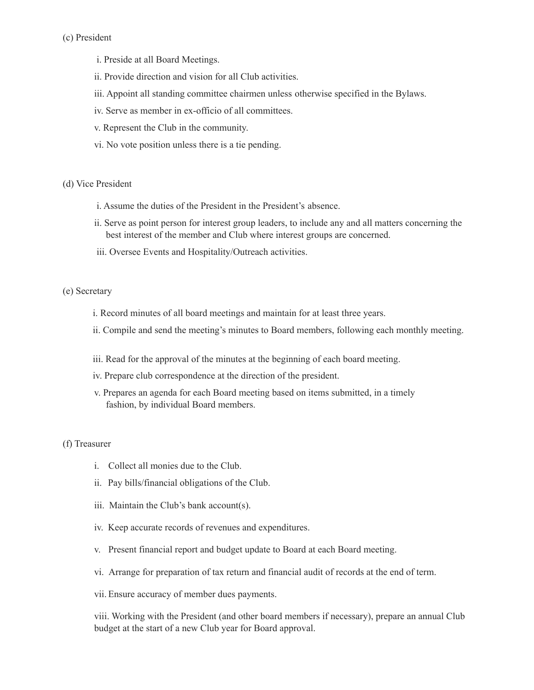- i. Preside at all Board Meetings.
- ii. Provide direction and vision for all Club activities.
- iii. Appoint all standing committee chairmen unless otherwise specified in the Bylaws.
- iv. Serve as member in ex-officio of all committees.
- v. Represent the Club in the community.
- vi. No vote position unless there is a tie pending.

#### (d) Vice President

- i. Assume the duties of the President in the President's absence.
- ii. Serve as point person for interest group leaders, to include any and all matters concerning the best interest of the member and Club where interest groups are concerned.
- iii. Oversee Events and Hospitality/Outreach activities.

## (e) Secretary

- i. Record minutes of all board meetings and maintain for at least three years.
- ii. Compile and send the meeting's minutes to Board members, following each monthly meeting.
- iii. Read for the approval of the minutes at the beginning of each board meeting.
- iv. Prepare club correspondence at the direction of the president.
- v. Prepares an agenda for each Board meeting based on items submitted, in a timely fashion, by individual Board members.

# (f) Treasurer

- i. Collect all monies due to the Club.
- ii. Pay bills/financial obligations of the Club.
- iii. Maintain the Club's bank account(s).
- iv. Keep accurate records of revenues and expenditures.
- v. Present financial report and budget update to Board at each Board meeting.
- vi. Arrange for preparation of tax return and financial audit of records at the end of term.
- vii. Ensure accuracy of member dues payments.

viii. Working with the President (and other board members if necessary), prepare an annual Club budget at the start of a new Club year for Board approval.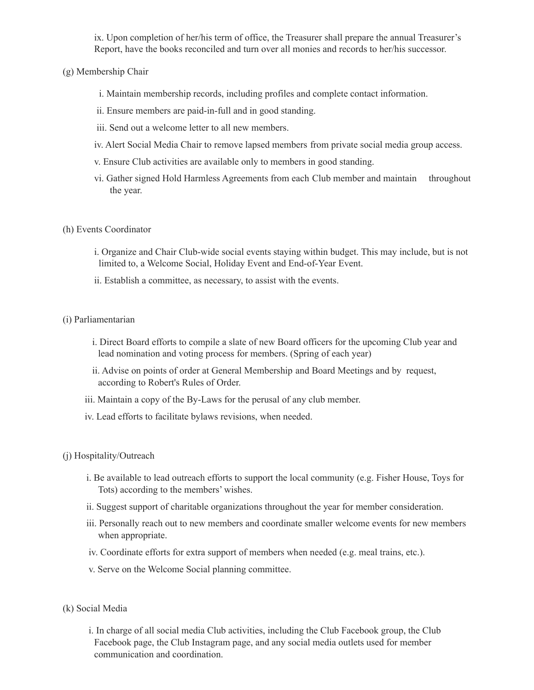ix. Upon completion of her/his term of office, the Treasurer shall prepare the annual Treasurer's Report, have the books reconciled and turn over all monies and records to her/his successor.

# (g) Membership Chair

- i. Maintain membership records, including profiles and complete contact information.
- ii. Ensure members are paid-in-full and in good standing.
- iii. Send out a welcome letter to all new members.
- iv. Alert Social Media Chair to remove lapsed members from private social media group access.
- v. Ensure Club activities are available only to members in good standing.
- vi. Gather signed Hold Harmless Agreements from each Club member and maintain throughout the year.

## (h) Events Coordinator

- i. Organize and Chair Club-wide social events staying within budget. This may include, but is not limited to, a Welcome Social, Holiday Event and End-of-Year Event.
- ii. Establish a committee, as necessary, to assist with the events.

## (i) Parliamentarian

- i. Direct Board efforts to compile a slate of new Board officers for the upcoming Club year and lead nomination and voting process for members. (Spring of each year)
- ii. Advise on points of order at General Membership and Board Meetings and by request, according to Robert's Rules of Order.
- iii. Maintain a copy of the By-Laws for the perusal of any club member.
- iv. Lead efforts to facilitate bylaws revisions, when needed.

# (j) Hospitality/Outreach

- i. Be available to lead outreach efforts to support the local community (e.g. Fisher House, Toys for Tots) according to the members' wishes.
- ii. Suggest support of charitable organizations throughout the year for member consideration.
- iii. Personally reach out to new members and coordinate smaller welcome events for new members when appropriate.
- iv. Coordinate efforts for extra support of members when needed (e.g. meal trains, etc.).
- v. Serve on the Welcome Social planning committee.
- (k) Social Media
	- i. In charge of all social media Club activities, including the Club Facebook group, the Club Facebook page, the Club Instagram page, and any social media outlets used for member communication and coordination.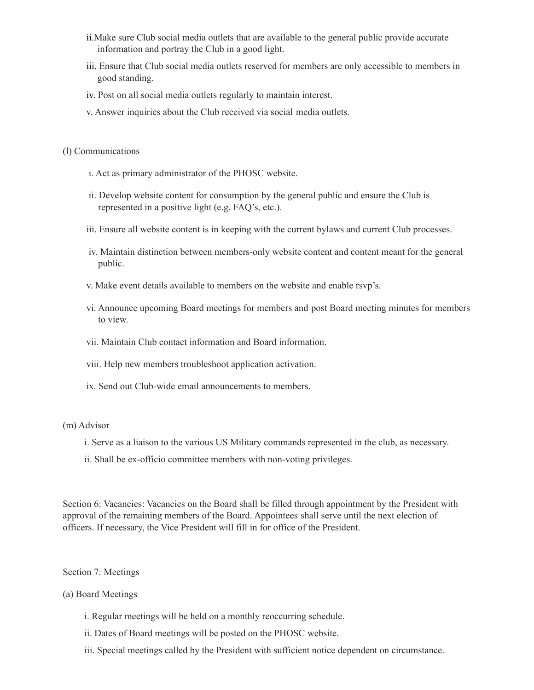- ii.Make sure Club social media outlets that are available to the general public provide accurate information and portray the Club in a good light.
- iii. Ensure that Club social media outlets reserved for members are only accessible to members in good standing.
- iv. Post on all social media outlets regularly to maintain interest.
- v. Answer inquiries about the Club received via social media outlets.
- (l) Communications
	- i. Act as primary administrator of the PHOSC website.
	- ii. Develop website content for consumption by the general public and ensure the Club is represented in a positive light (e.g. FAQ's, etc.).
	- iii. Ensure all website content is in keeping with the current bylaws and current Club processes.
	- iv. Maintain distinction between members-only website content and content meant for the general public.
	- v. Make event details available to members on the website and enable rsvp's.
	- vi. Announce upcoming Board meetings for members and post Board meeting minutes for members to view.
	- vii. Maintain Club contact information and Board information.
	- viii. Help new members troubleshoot application activation.
	- ix. Send out Club-wide email announcements to members.

#### (m) Advisor

- i. Serve as a liaison to the various US Military commands represented in the club, as necessary.
- ii. Shall be ex-officio committee members with non-voting privileges.

Section 6: Vacancies: Vacancies on the Board shall be filled through appointment by the President with approval of the remaining members of the Board. Appointees shall serve until the next election of officers. If necessary, the Vice President will fill in for office of the President.

Section 7: Meetings

# (a) Board Meetings

- i. Regular meetings will be held on a monthly reoccurring schedule.
- ii. Dates of Board meetings will be posted on the PHOSC website.
- iii. Special meetings called by the President with sufficient notice dependent on circumstance.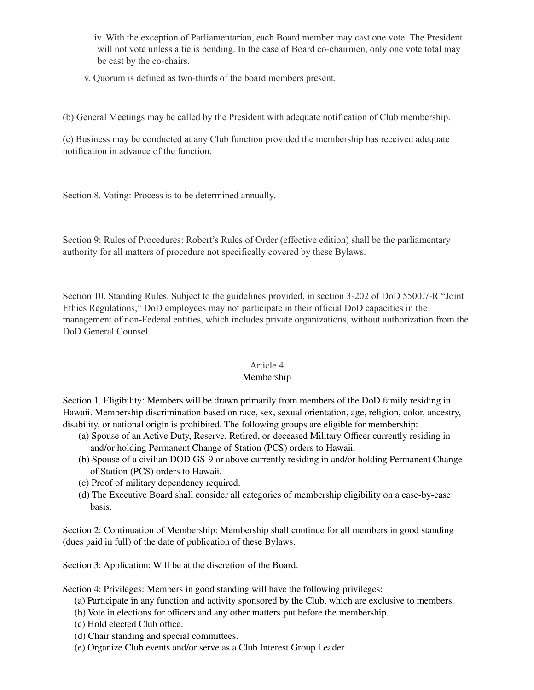iv. With the exception of Parliamentarian, each Board member may cast one vote. The President will not vote unless a tie is pending. In the case of Board co-chairmen, only one vote total may be cast by the co-chairs.

v. Quorum is defined as two-thirds of the board members present.

(b) General Meetings may be called by the President with adequate notification of Club membership.

(c) Business may be conducted at any Club function provided the membership has received adequate notification in advance of the function.

Section 8. Voting: Process is to be determined annually.

Section 9: Rules of Procedures: Robert's Rules of Order (effective edition) shall be the parliamentary authority for all matters of procedure not specifically covered by these Bylaws.

Section 10. Standing Rules. Subject to the guidelines provided, in section 3-202 of DoD 5500.7-R "Joint Ethics Regulations," DoD employees may not participate in their official DoD capacities in the management of non-Federal entities, which includes private organizations, without authorization from the DoD General Counsel.

# Article 4

# Membership

Section 1. Eligibility: Members will be drawn primarily from members of the DoD family residing in Hawaii. Membership discrimination based on race, sex, sexual orientation, age, religion, color, ancestry, disability, or national origin is prohibited. The following groups are eligible for membership:

- (a) Spouse of an Active Duty, Reserve, Retired, or deceased Military Officer currently residing in and/or holding Permanent Change of Station (PCS) orders to Hawaii.
- (b) Spouse of a civilian DOD GS-9 or above currently residing in and/or holding Permanent Change of Station (PCS) orders to Hawaii.
- (c) Proof of military dependency required.
- (d) The Executive Board shall consider all categories of membership eligibility on a case-by-case basis.

Section 2: Continuation of Membership: Membership shall continue for all members in good standing (dues paid in full) of the date of publication of these Bylaws.

Section 3: Application: Will be at the discretion of the Board.

Section 4: Privileges: Members in good standing will have the following privileges:

- (a) Participate in any function and activity sponsored by the Club, which are exclusive to members.
- (b) Vote in elections for officers and any other matters put before the membership.
- (c) Hold elected Club office.
- (d) Chair standing and special committees.
- (e) Organize Club events and/or serve as a Club Interest Group Leader.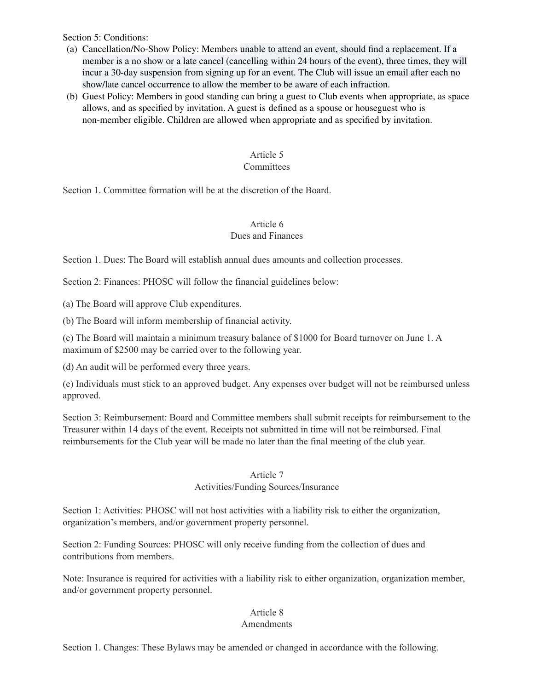Section 5: Conditions:

- (a) Cancellation/No-Show Policy: Members unable to attend an event, should find a replacement. If a member is a no show or a late cancel (cancelling within 24 hours of the event), three times, they will incur a 30-day suspension from signing up for an event. The Club will issue an email after each no show/late cancel occurrence to allow the member to be aware of each infraction.
- (b) Guest Policy: Members in good standing can bring a guest to Club events when appropriate, as space allows, and as specified by invitation. A guest is defined as a spouse or houseguest who is non-member eligible. Children are allowed when appropriate and as specified by invitation.

# Article 5

# **Committees**

Section 1. Committee formation will be at the discretion of the Board.

# Article 6 Dues and Finances

Section 1. Dues: The Board will establish annual dues amounts and collection processes.

Section 2: Finances: PHOSC will follow the financial guidelines below:

(a) The Board will approve Club expenditures.

(b) The Board will inform membership of financial activity.

(c) The Board will maintain a minimum treasury balance of \$1000 for Board turnover on June 1. A maximum of \$2500 may be carried over to the following year.

(d) An audit will be performed every three years.

(e) Individuals must stick to an approved budget. Any expenses over budget will not be reimbursed unless approved.

Section 3: Reimbursement: Board and Committee members shall submit receipts for reimbursement to the Treasurer within 14 days of the event. Receipts not submitted in time will not be reimbursed. Final reimbursements for the Club year will be made no later than the final meeting of the club year.

# Article 7

# Activities/Funding Sources/Insurance

Section 1: Activities: PHOSC will not host activities with a liability risk to either the organization, organization's members, and/or government property personnel.

Section 2: Funding Sources: PHOSC will only receive funding from the collection of dues and contributions from members.

Note: Insurance is required for activities with a liability risk to either organization, organization member, and/or government property personnel.

# Article 8

# Amendments

Section 1. Changes: These Bylaws may be amended or changed in accordance with the following.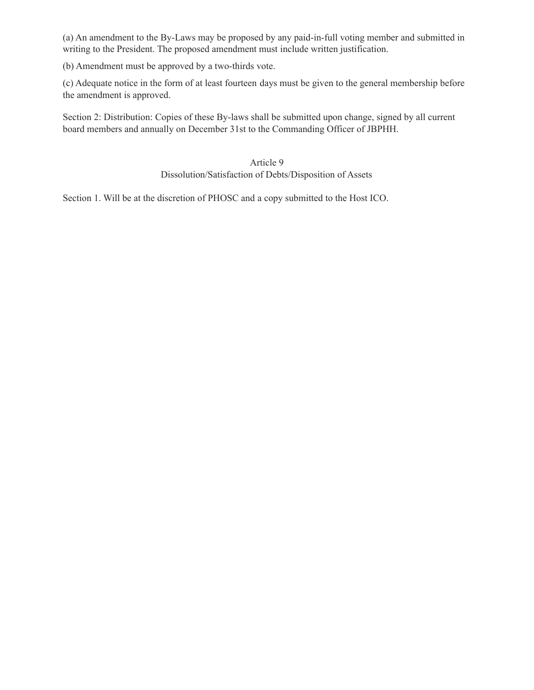(a) An amendment to the By-Laws may be proposed by any paid-in-full voting member and submitted in writing to the President. The proposed amendment must include written justification.

(b) Amendment must be approved by a two-thirds vote.

(c) Adequate notice in the form of at least fourteen days must be given to the general membership before the amendment is approved.

Section 2: Distribution: Copies of these By-laws shall be submitted upon change, signed by all current board members and annually on December 31st to the Commanding Officer of JBPHH.

> Article 9 Dissolution/Satisfaction of Debts/Disposition of Assets

Section 1. Will be at the discretion of PHOSC and a copy submitted to the Host ICO.